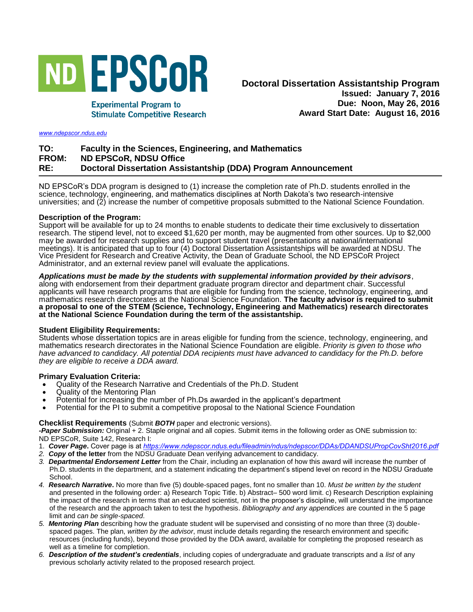

**Experimental Program to** 

**Stimulate Competitive Research** 

#### *<www.ndepscor.ndus.edu>*

# **TO: Faculty in the Sciences, Engineering, and Mathematics FROM: ND EPSCoR, NDSU Office RE: Doctoral Dissertation Assistantship (DDA) Program Announcement**

ND EPSCoR's DDA program is designed to (1) increase the completion rate of Ph.D. students enrolled in the science, technology, engineering, and mathematics disciplines at North Dakota's two research-intensive universities; and (2) increase the number of competitive proposals submitted to the National Science Foundation.

## **Description of the Program:**

Support will be available for up to 24 months to enable students to dedicate their time exclusively to dissertation research. The stipend level, not to exceed \$1,620 per month, may be augmented from other sources. Up to \$2,000 may be awarded for research supplies and to support student travel (presentations at national/international meetings). It is anticipated that up to four (4) Doctoral Dissertation Assistantships will be awarded at NDSU. The Vice President for Research and Creative Activity, the Dean of Graduate School, the ND EPSCoR Project Administrator, and an external review panel will evaluate the applications.

*Applications must be made by the students with supplemental information provided by their advisors*, along with endorsement from their department graduate program director and department chair. Successful applicants will have research programs that are eligible for funding from the science, technology, engineering, and mathematics research directorates at the National Science Foundation. **The faculty advisor is required to submit a proposal to one of the STEM (Science, Technology, Engineering and Mathematics) research directorates at the National Science Foundation during the term of the assistantship.**

## **Student Eligibility Requirements:**

Students whose dissertation topics are in areas eligible for funding from the science, technology, engineering, and mathematics research directorates in the National Science Foundation are eligible. *Priority is given to those who have advanced to candidacy. All potential DDA recipients must have advanced to candidacy for the Ph.D. before they are eligible to receive a DDA award.* 

## **Primary Evaluation Criteria:**

- Quality of the Research Narrative and Credentials of the Ph.D. Student
- Quality of the Mentoring Plan
- Potential for increasing the number of Ph.Ds awarded in the applicant's department
- Potential for the PI to submit a competitive proposal to the National Science Foundation

#### **Checklist Requirements** (Submit *BOTH* paper and electronic versions).

*-Paper Submission:* Original + 2. Staple original and all copies. Submit items in the following order as ONE submission to: ND EPSCoR, Suite 142, Research I:

- 1. *Cover Page***.** Cover page is at *<https://www.ndepscor.ndus.edu/fileadmin/ndus/ndepscor/DDAs/DDANDSUPropCovSht2016.pdf>*
- *2. Copy* **of the letter** from the NDSU Graduate Dean verifying advancement to candidacy.
- *3. Departmental Endorsement Letter* from the Chair, including an explanation of how this award will increase the number of Ph.D. students in the department, and a statement indicating the department's stipend level on record in the NDSU Graduate School.
- *4. Research Narrative***.** No more than five (5) double-spaced pages, font no smaller than 10. *Must be written by the student* and presented in the following order: a) Research Topic Title. b) Abstract– 500 word limit. c) Research Description explaining the impact of the research in terms that an educated scientist, not in the proposer's discipline, will understand the importance of the research and the approach taken to test the hypothesis. *Bibliography and any appendices* are counted in the 5 page limit and *can be single-spaced*.
- *5. Mentoring Plan* describing how the graduate student will be supervised and consisting of no more than three (3) doublespaced pages. The plan, *written by the advisor*, must include details regarding the research environment and specific resources (including funds), beyond those provided by the DDA award, available for completing the proposed research as well as a timeline for completion.
- *6. Description of the student's credentials*, including copies of undergraduate and graduate transcripts and a *list* of any previous scholarly activity related to the proposed research project.